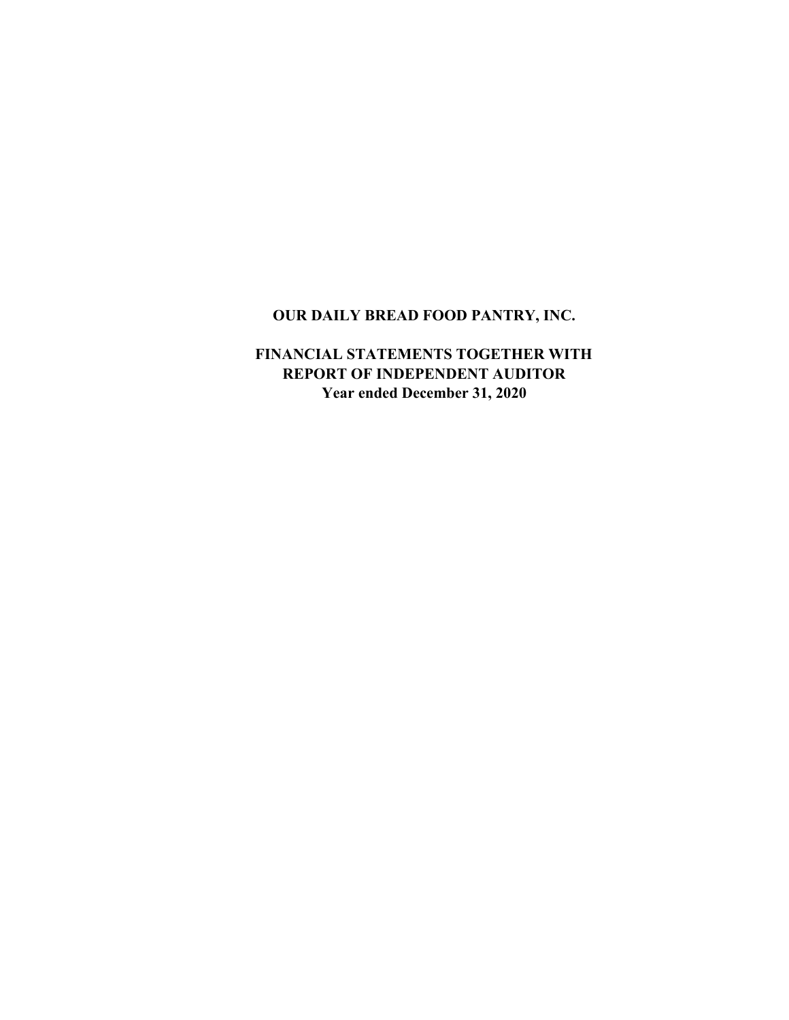# **OUR DAILY BREAD FOOD PANTRY, INC.**

## **FINANCIAL STATEMENTS TOGETHER WITH Year ended December 31, 2020 REPORT OF INDEPENDENT AUDITOR**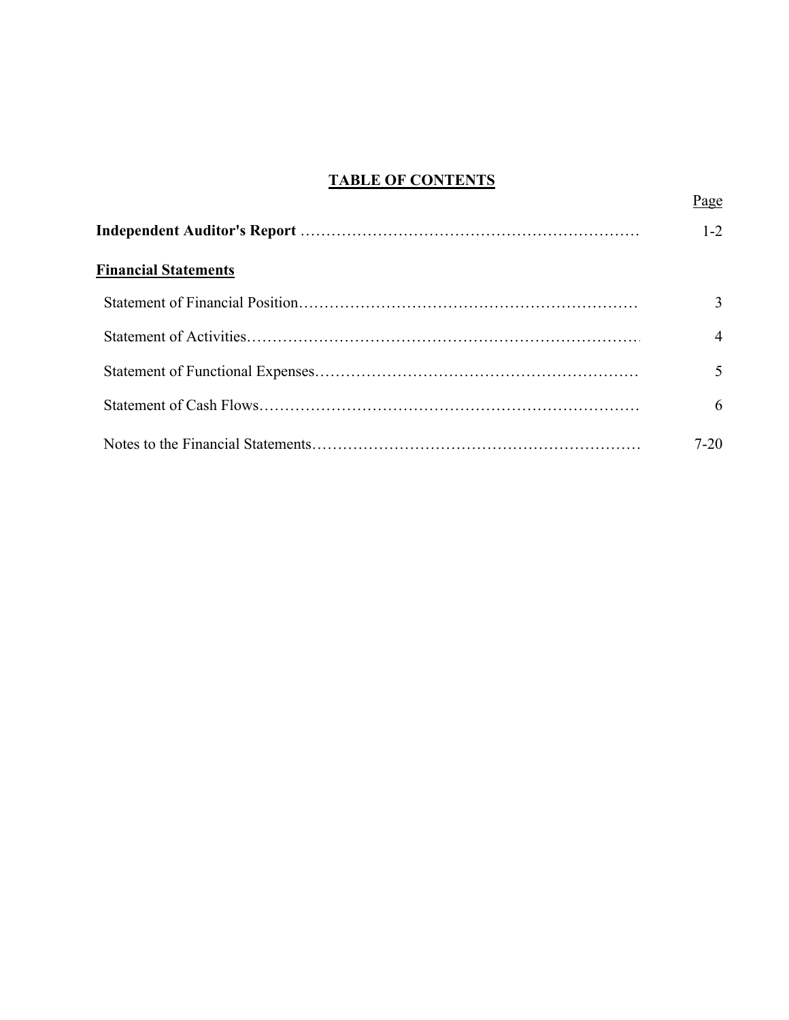# **TABLE OF CONTENTS**

Page

|                             | $1 - 2$        |
|-----------------------------|----------------|
| <b>Financial Statements</b> |                |
|                             | 3              |
|                             | $\overline{4}$ |
|                             | $\mathcal{F}$  |
|                             | 6              |
|                             | $7-20$         |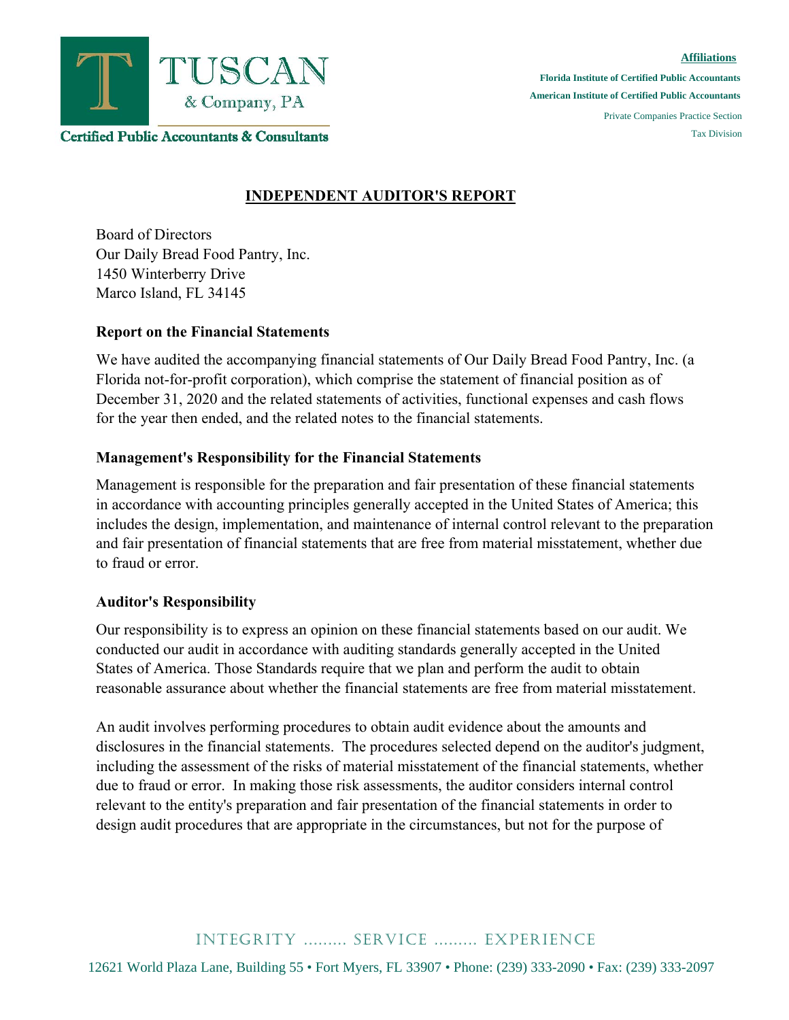

**Certified Public Accountants & Consultants** 

#### **Affiliations**

**Florida Institute of Certified Public Accountants American Institute of Certified Public Accountants** 

> Private Companies Practice Section Tax Division

### **INDEPENDENT AUDITOR'S REPORT**

Board of Directors Our Daily Bread Food Pantry, Inc. 1450 Winterberry Drive Marco Island, FL 34145

#### **Report on the Financial Statements**

We have audited the accompanying financial statements of Our Daily Bread Food Pantry, Inc. (a Florida not-for-profit corporation), which comprise the statement of financial position as of December 31, 2020 and the related statements of activities, functional expenses and cash flows for the year then ended, and the related notes to the financial statements.

#### **Management's Responsibility for the Financial Statements**

Management is responsible for the preparation and fair presentation of these financial statements in accordance with accounting principles generally accepted in the United States of America; this includes the design, implementation, and maintenance of internal control relevant to the preparation and fair presentation of financial statements that are free from material misstatement, whether due to fraud or error.

#### **Auditor's Responsibility**

Our responsibility is to express an opinion on these financial statements based on our audit. We conducted our audit in accordance with auditing standards generally accepted in the United States of America. Those Standards require that we plan and perform the audit to obtain reasonable assurance about whether the financial statements are free from material misstatement.

An audit involves performing procedures to obtain audit evidence about the amounts and disclosures in the financial statements. The procedures selected depend on the auditor's judgment, including the assessment of the risks of material misstatement of the financial statements, whether due to fraud or error. In making those risk assessments, the auditor considers internal control relevant to the entity's preparation and fair presentation of the financial statements in order to design audit procedures that are appropriate in the circumstances, but not for the purpose of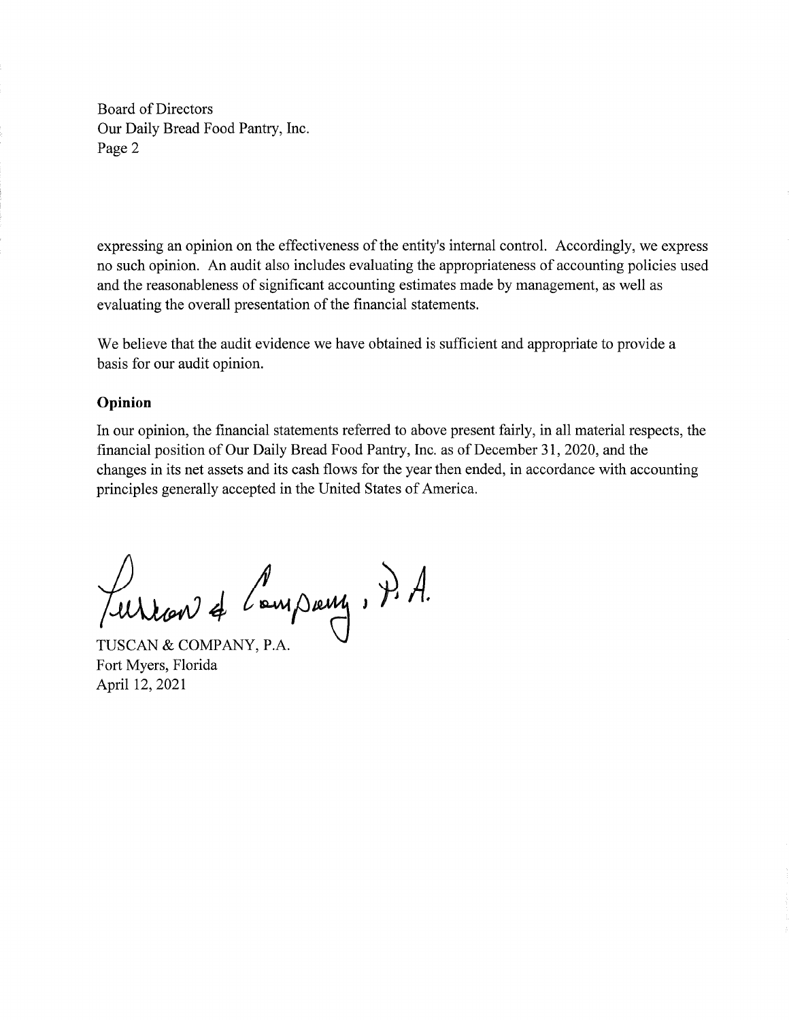**Board of Directors** Our Daily Bread Food Pantry, Inc. Page 2

expressing an opinion on the effectiveness of the entity's internal control. Accordingly, we express no such opinion. An audit also includes evaluating the appropriateness of accounting policies used and the reasonableness of significant accounting estimates made by management, as well as evaluating the overall presentation of the financial statements.

We believe that the audit evidence we have obtained is sufficient and appropriate to provide a basis for our audit opinion.

#### Opinion

In our opinion, the financial statements referred to above present fairly, in all material respects, the financial position of Our Daily Bread Food Pantry, Inc. as of December 31, 2020, and the changes in its net assets and its cash flows for the year then ended, in accordance with accounting principles generally accepted in the United States of America.

Jurren 4 Company, P.A.

TUSCAN & COMPANY, P.A. Fort Myers, Florida April 12, 2021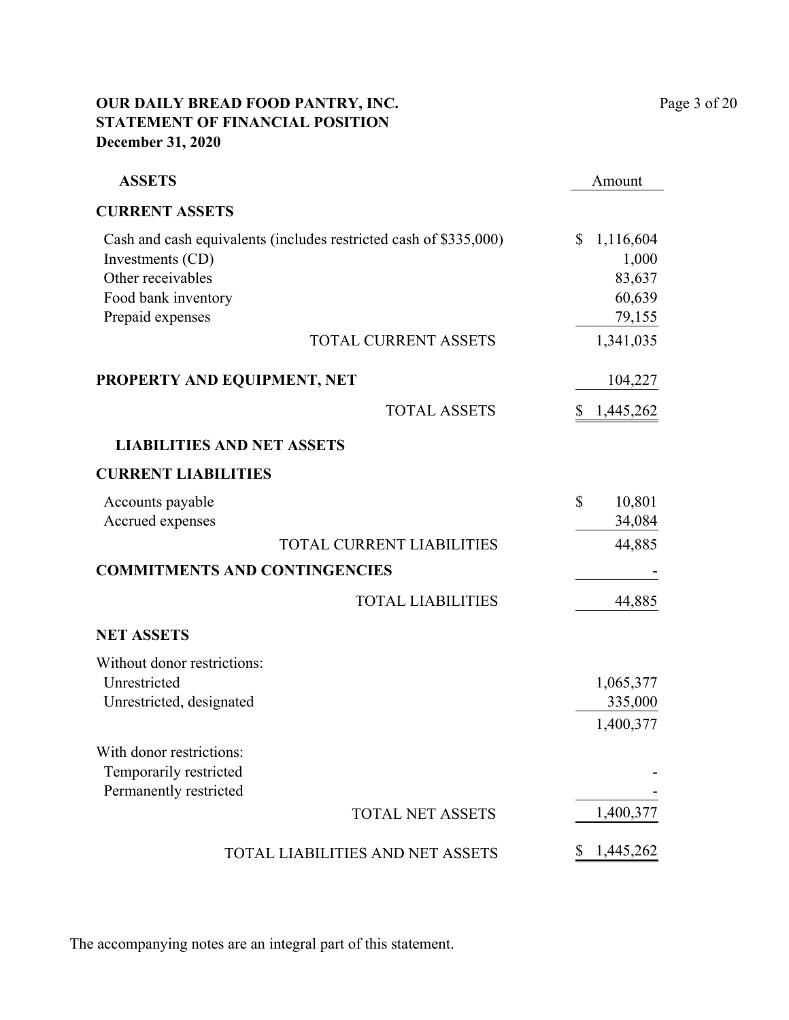### **OUR DAILY BREAD FOOD PANTRY, INC.** Page 3 of 20 **STATEMENT OF FINANCIAL POSITION December 31, 2020**

| <b>ASSETS</b>                                                                    |                                                                                                  | Amount                                                              |
|----------------------------------------------------------------------------------|--------------------------------------------------------------------------------------------------|---------------------------------------------------------------------|
| <b>CURRENT ASSETS</b>                                                            |                                                                                                  |                                                                     |
| Investments (CD)<br>Other receivables<br>Food bank inventory<br>Prepaid expenses | Cash and cash equivalents (includes restricted cash of \$335,000)<br><b>TOTAL CURRENT ASSETS</b> | \$<br>1,116,604<br>1,000<br>83,637<br>60,639<br>79,155<br>1,341,035 |
|                                                                                  |                                                                                                  |                                                                     |
| PROPERTY AND EQUIPMENT, NET                                                      |                                                                                                  | 104,227                                                             |
|                                                                                  | <b>TOTAL ASSETS</b>                                                                              | \$<br>1,445,262                                                     |
| <b>LIABILITIES AND NET ASSETS</b>                                                |                                                                                                  |                                                                     |
| <b>CURRENT LIABILITIES</b>                                                       |                                                                                                  |                                                                     |
| Accounts payable<br>Accrued expenses                                             |                                                                                                  | \$<br>10,801<br>34,084                                              |
|                                                                                  | <b>TOTAL CURRENT LIABILITIES</b>                                                                 | 44,885                                                              |
| <b>COMMITMENTS AND CONTINGENCIES</b>                                             |                                                                                                  |                                                                     |
|                                                                                  | <b>TOTAL LIABILITIES</b>                                                                         | 44,885                                                              |
| <b>NET ASSETS</b>                                                                |                                                                                                  |                                                                     |
| Without donor restrictions:<br>Unrestricted<br>Unrestricted, designated          |                                                                                                  | 1,065,377<br>335,000<br>1,400,377                                   |
| With donor restrictions:<br>Temporarily restricted<br>Permanently restricted     |                                                                                                  |                                                                     |
|                                                                                  | <b>TOTAL NET ASSETS</b>                                                                          | 1,400,377                                                           |
|                                                                                  | TOTAL LIABILITIES AND NET ASSETS                                                                 | \$1,445,262                                                         |

The accompanying notes are an integral part of this statement.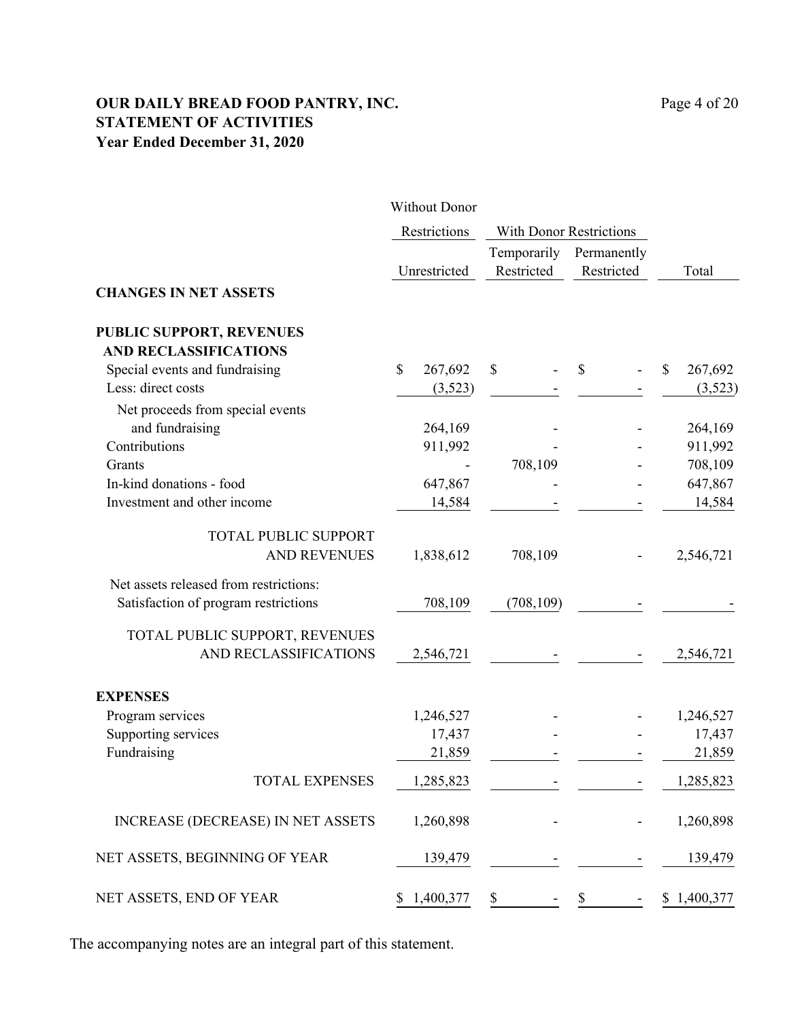### **OUR DAILY BREAD FOOD PANTRY, INC.** Page 4 of 20 **STATEMENT OF ACTIVITIES Year Ended December 31, 2020**

|                                          | <b>Without Donor</b> |                           |                                |               |
|------------------------------------------|----------------------|---------------------------|--------------------------------|---------------|
|                                          | Restrictions         |                           | <b>With Donor Restrictions</b> |               |
|                                          | Unrestricted         | Temporarily<br>Restricted | Permanently<br>Restricted      | Total         |
| <b>CHANGES IN NET ASSETS</b>             |                      |                           |                                |               |
| <b>PUBLIC SUPPORT, REVENUES</b>          |                      |                           |                                |               |
| <b>AND RECLASSIFICATIONS</b>             |                      |                           |                                |               |
| Special events and fundraising           | \$<br>267,692        | \$                        | \$                             | \$<br>267,692 |
| Less: direct costs                       | (3,523)              |                           |                                | (3,523)       |
| Net proceeds from special events         |                      |                           |                                |               |
| and fundraising                          | 264,169              |                           |                                | 264,169       |
| Contributions                            | 911,992              |                           |                                | 911,992       |
| Grants                                   |                      | 708,109                   |                                | 708,109       |
| In-kind donations - food                 | 647,867              |                           |                                | 647,867       |
| Investment and other income              | 14,584               |                           |                                | 14,584        |
| <b>TOTAL PUBLIC SUPPORT</b>              |                      |                           |                                |               |
| <b>AND REVENUES</b>                      | 1,838,612            | 708,109                   |                                | 2,546,721     |
| Net assets released from restrictions:   |                      |                           |                                |               |
| Satisfaction of program restrictions     | 708,109              | (708, 109)                |                                |               |
| TOTAL PUBLIC SUPPORT, REVENUES           |                      |                           |                                |               |
| AND RECLASSIFICATIONS                    | 2,546,721            |                           |                                | 2,546,721     |
| <b>EXPENSES</b>                          |                      |                           |                                |               |
| Program services                         | 1,246,527            |                           |                                | 1,246,527     |
| Supporting services                      | 17,437               |                           |                                | 17,437        |
| Fundraising                              | 21,859               |                           |                                | 21,859        |
| TOTAL EXPENSES                           | 1,285,823            |                           |                                | 1,285,823     |
| <b>INCREASE (DECREASE) IN NET ASSETS</b> | 1,260,898            |                           |                                | 1,260,898     |
| NET ASSETS, BEGINNING OF YEAR            | 139,479              |                           |                                | 139,479       |
| NET ASSETS, END OF YEAR                  | \$1,400,377          | \$                        | \$                             | \$1,400,377   |

The accompanying notes are an integral part of this statement.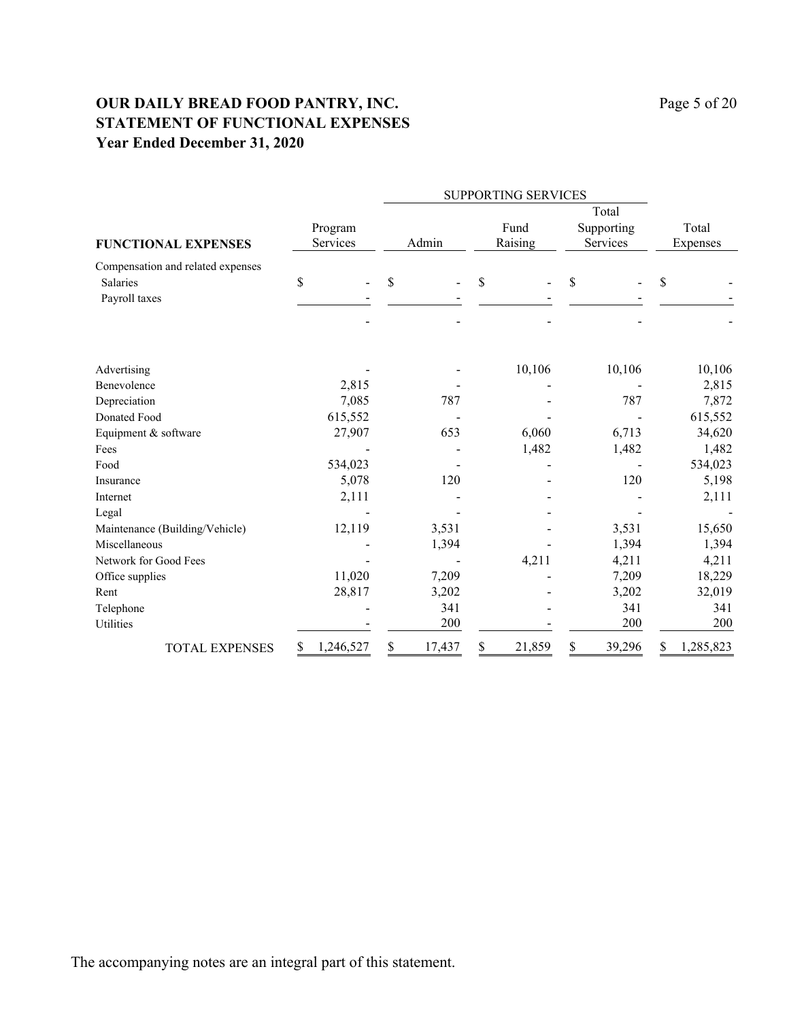## **OUR DAILY BREAD FOOD PANTRY, INC.** Page 5 of 20 **STATEMENT OF FUNCTIONAL EXPENSES Year Ended December 31, 2020**

|                                                                       |                     | SUPPORTING SERVICES |                 |                                 |                   |
|-----------------------------------------------------------------------|---------------------|---------------------|-----------------|---------------------------------|-------------------|
| <b>FUNCTIONAL EXPENSES</b>                                            | Program<br>Services | Admin               | Fund<br>Raising | Total<br>Supporting<br>Services | Total<br>Expenses |
| Compensation and related expenses<br><b>Salaries</b><br>Payroll taxes | \$                  | \$                  | \$              | \$                              | \$                |
|                                                                       |                     |                     |                 |                                 |                   |
| Advertising                                                           |                     |                     | 10,106          | 10,106                          | 10,106            |
| Benevolence                                                           | 2,815               |                     |                 |                                 | 2,815             |
| Depreciation                                                          | 7,085               | 787                 |                 | 787                             | 7,872             |
| Donated Food                                                          | 615,552             |                     |                 |                                 | 615,552           |
| Equipment & software                                                  | 27,907              | 653                 | 6,060           | 6,713                           | 34,620            |
| Fees                                                                  |                     |                     | 1,482           | 1,482                           | 1,482             |
| Food                                                                  | 534,023             |                     |                 |                                 | 534,023           |
| Insurance                                                             | 5,078               | 120                 |                 | 120                             | 5,198             |
| Internet                                                              | 2,111               |                     |                 |                                 | 2,111             |
| Legal                                                                 |                     |                     |                 |                                 |                   |
| Maintenance (Building/Vehicle)                                        | 12,119              | 3,531               |                 | 3,531                           | 15,650            |
| Miscellaneous                                                         |                     | 1,394               |                 | 1,394                           | 1,394             |
| Network for Good Fees                                                 |                     |                     | 4,211           | 4,211                           | 4,211             |
| Office supplies                                                       | 11,020              | 7,209               |                 | 7,209                           | 18,229            |
| Rent                                                                  | 28,817              | 3,202               |                 | 3,202                           | 32,019            |
| Telephone                                                             |                     | 341                 |                 | 341                             | 341               |
| Utilities                                                             |                     | 200                 |                 | 200                             | 200               |
| <b>TOTAL EXPENSES</b>                                                 | 1,246,527<br>\$     | \$<br>17,437        | 21,859<br>\$    | \$<br>39,296                    | 1,285,823<br>\$   |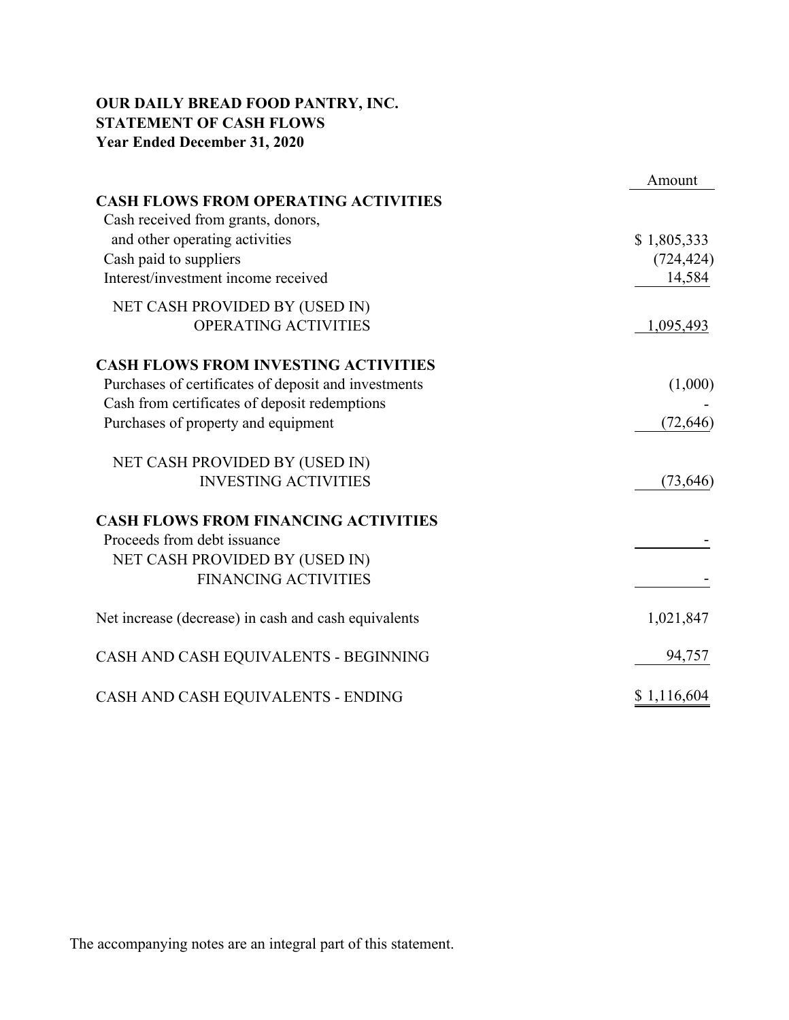### **OUR DAILY BREAD FOOD PANTRY, INC. STATEMENT OF CASH FLOWS Year Ended December 31, 2020**

|                                                      | Amount      |
|------------------------------------------------------|-------------|
| <b>CASH FLOWS FROM OPERATING ACTIVITIES</b>          |             |
| Cash received from grants, donors,                   |             |
| and other operating activities                       | \$1,805,333 |
| Cash paid to suppliers                               | (724, 424)  |
| Interest/investment income received                  | 14,584      |
| NET CASH PROVIDED BY (USED IN)                       |             |
| OPERATING ACTIVITIES                                 | 1,095,493   |
| <b>CASH FLOWS FROM INVESTING ACTIVITIES</b>          |             |
| Purchases of certificates of deposit and investments | (1,000)     |
| Cash from certificates of deposit redemptions        |             |
| Purchases of property and equipment                  | (72, 646)   |
| NET CASH PROVIDED BY (USED IN)                       |             |
| <b>INVESTING ACTIVITIES</b>                          | (73, 646)   |
| <b>CASH FLOWS FROM FINANCING ACTIVITIES</b>          |             |
| Proceeds from debt issuance                          |             |
| NET CASH PROVIDED BY (USED IN)                       |             |
| <b>FINANCING ACTIVITIES</b>                          |             |
| Net increase (decrease) in cash and cash equivalents | 1,021,847   |
| CASH AND CASH EQUIVALENTS - BEGINNING                | 94,757      |
| CASH AND CASH EQUIVALENTS - ENDING                   | \$1,116,604 |

The accompanying notes are an integral part of this statement.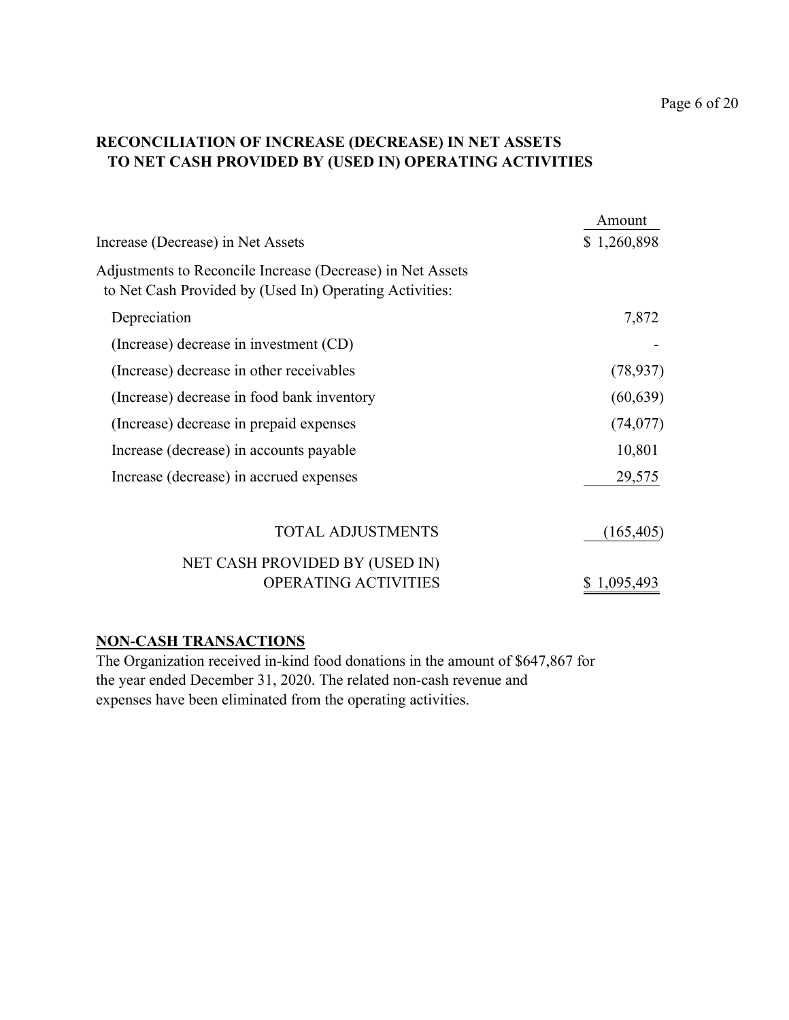### **RECONCILIATION OF INCREASE (DECREASE) IN NET ASSETS TO NET CASH PROVIDED BY (USED IN) OPERATING ACTIVITIES**

|                                                                                                                       | Amount      |
|-----------------------------------------------------------------------------------------------------------------------|-------------|
| Increase (Decrease) in Net Assets                                                                                     | \$1,260,898 |
| Adjustments to Reconcile Increase (Decrease) in Net Assets<br>to Net Cash Provided by (Used In) Operating Activities: |             |
| Depreciation                                                                                                          | 7,872       |
| (Increase) decrease in investment (CD)                                                                                |             |
| (Increase) decrease in other receivables                                                                              | (78, 937)   |
| (Increase) decrease in food bank inventory                                                                            | (60, 639)   |
| (Increase) decrease in prepaid expenses                                                                               | (74, 077)   |
| Increase (decrease) in accounts payable                                                                               | 10,801      |
| Increase (decrease) in accrued expenses                                                                               | 29,575      |
| <b>TOTAL ADJUSTMENTS</b>                                                                                              | (165, 405)  |
| NET CASH PROVIDED BY (USED IN)                                                                                        |             |
| <b>OPERATING ACTIVITIES</b>                                                                                           | \$1,095,493 |

### **NON-CASH TRANSACTIONS**

The Organization received in-kind food donations in the amount of \$647,867 for the year ended December 31, 2020. The related non-cash revenue and expenses have been eliminated from the operating activities.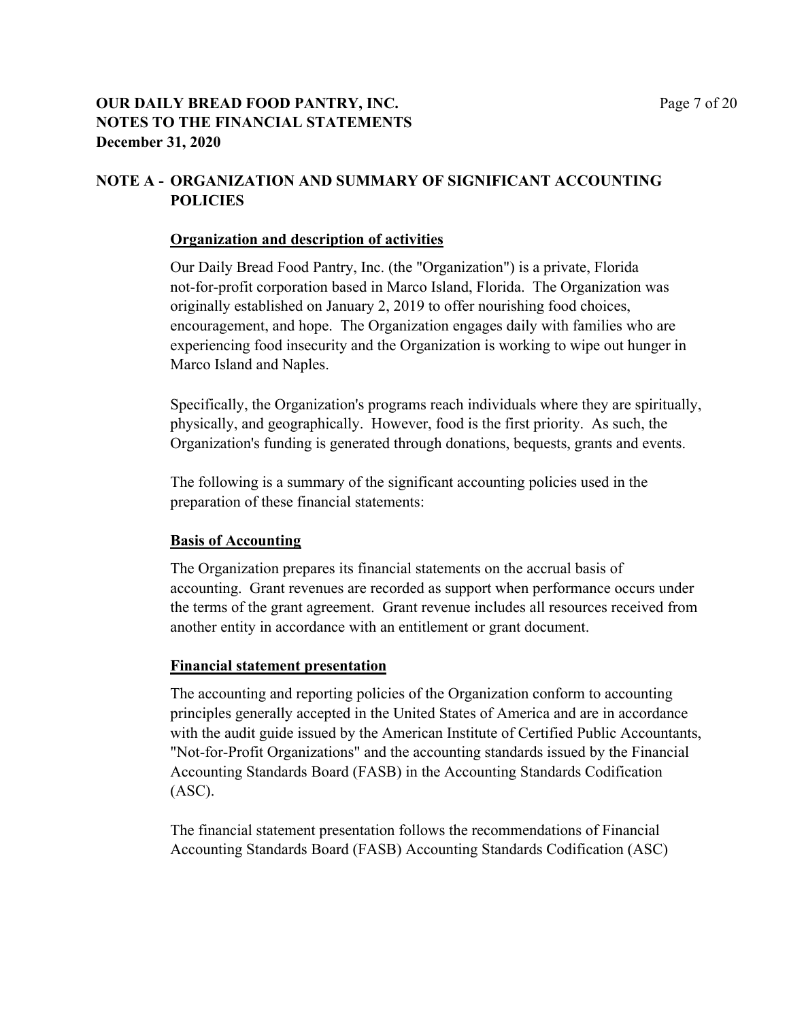### **OUR DAILY BREAD FOOD PANTRY, INC.** Page 7 of 20 **NOTES TO THE FINANCIAL STATEMENTS December 31, 2020**

### **NOTE A - ORGANIZATION AND SUMMARY OF SIGNIFICANT ACCOUNTING POLICIES**

#### **Organization and description of activities**

Our Daily Bread Food Pantry, Inc. (the "Organization") is a private, Florida not-for-profit corporation based in Marco Island, Florida. The Organization was originally established on January 2, 2019 to offer nourishing food choices, encouragement, and hope. The Organization engages daily with families who are experiencing food insecurity and the Organization is working to wipe out hunger in Marco Island and Naples.

Specifically, the Organization's programs reach individuals where they are spiritually, physically, and geographically. However, food is the first priority. As such, the Organization's funding is generated through donations, bequests, grants and events.

The following is a summary of the significant accounting policies used in the preparation of these financial statements:

#### **Basis of Accounting**

The Organization prepares its financial statements on the accrual basis of accounting. Grant revenues are recorded as support when performance occurs under the terms of the grant agreement. Grant revenue includes all resources received from another entity in accordance with an entitlement or grant document.

#### **Financial statement presentation**

The accounting and reporting policies of the Organization conform to accounting principles generally accepted in the United States of America and are in accordance with the audit guide issued by the American Institute of Certified Public Accountants, "Not-for-Profit Organizations" and the accounting standards issued by the Financial Accounting Standards Board (FASB) in the Accounting Standards Codification (ASC).

The financial statement presentation follows the recommendations of Financial Accounting Standards Board (FASB) Accounting Standards Codification (ASC)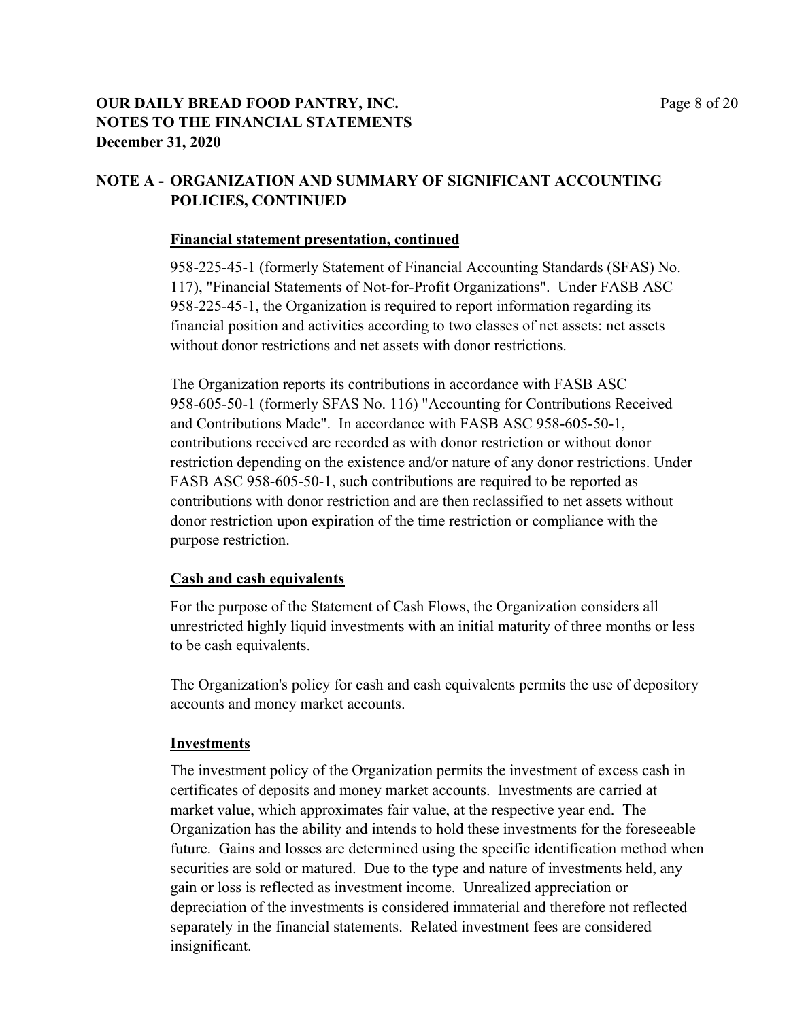### **OUR DAILY BREAD FOOD PANTRY, INC.** Page 8 of 20 **NOTES TO THE FINANCIAL STATEMENTS December 31, 2020**

### **NOTE A - ORGANIZATION AND SUMMARY OF SIGNIFICANT ACCOUNTING POLICIES, CONTINUED**

#### **Financial statement presentation, continued**

958-225-45-1 (formerly Statement of Financial Accounting Standards (SFAS) No. 117), "Financial Statements of Not-for-Profit Organizations". Under FASB ASC 958-225-45-1, the Organization is required to report information regarding its financial position and activities according to two classes of net assets: net assets without donor restrictions and net assets with donor restrictions.

The Organization reports its contributions in accordance with FASB ASC 958-605-50-1 (formerly SFAS No. 116) "Accounting for Contributions Received and Contributions Made". In accordance with FASB ASC 958-605-50-1, contributions received are recorded as with donor restriction or without donor restriction depending on the existence and/or nature of any donor restrictions. Under FASB ASC 958-605-50-1, such contributions are required to be reported as contributions with donor restriction and are then reclassified to net assets without donor restriction upon expiration of the time restriction or compliance with the purpose restriction.

### **Cash and cash equivalents**

For the purpose of the Statement of Cash Flows, the Organization considers all unrestricted highly liquid investments with an initial maturity of three months or less to be cash equivalents.

The Organization's policy for cash and cash equivalents permits the use of depository accounts and money market accounts.

### **Investments**

The investment policy of the Organization permits the investment of excess cash in certificates of deposits and money market accounts. Investments are carried at market value, which approximates fair value, at the respective year end. The Organization has the ability and intends to hold these investments for the foreseeable future. Gains and losses are determined using the specific identification method when securities are sold or matured. Due to the type and nature of investments held, any gain or loss is reflected as investment income. Unrealized appreciation or depreciation of the investments is considered immaterial and therefore not reflected separately in the financial statements. Related investment fees are considered insignificant.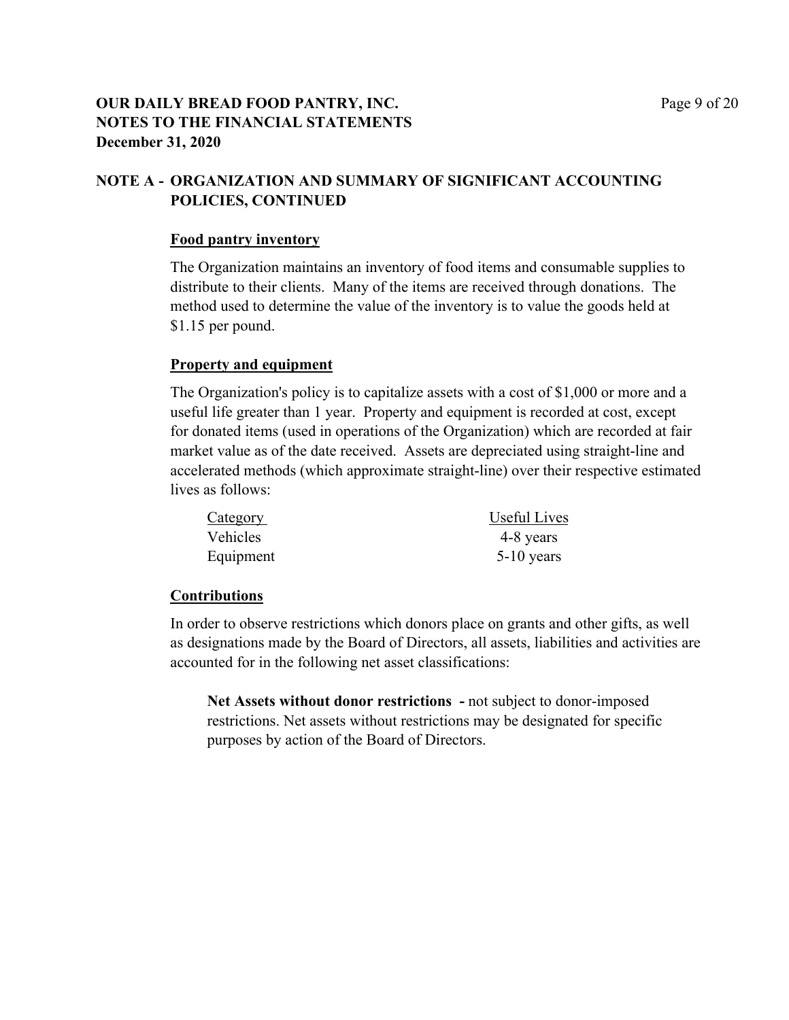### **OUR DAILY BREAD FOOD PANTRY, INC.** Page 9 of 20 **NOTES TO THE FINANCIAL STATEMENTS December 31, 2020**

### **NOTE A - ORGANIZATION AND SUMMARY OF SIGNIFICANT ACCOUNTING POLICIES, CONTINUED**

#### **Food pantry inventory**

The Organization maintains an inventory of food items and consumable supplies to distribute to their clients. Many of the items are received through donations. The method used to determine the value of the inventory is to value the goods held at \$1.15 per pound.

#### **Property and equipment**

The Organization's policy is to capitalize assets with a cost of \$1,000 or more and a useful life greater than 1 year. Property and equipment is recorded at cost, except for donated items (used in operations of the Organization) which are recorded at fair market value as of the date received. Assets are depreciated using straight-line and accelerated methods (which approximate straight-line) over their respective estimated lives as follows:

| Category        | <b>Useful Lives</b> |
|-----------------|---------------------|
| <b>Vehicles</b> | 4-8 years           |
| Equipment       | $5-10$ years        |

#### **Contributions**

In order to observe restrictions which donors place on grants and other gifts, as well as designations made by the Board of Directors, all assets, liabilities and activities are accounted for in the following net asset classifications:

**Net Assets without donor restrictions -** not subject to donor-imposed restrictions. Net assets without restrictions may be designated for specific purposes by action of the Board of Directors.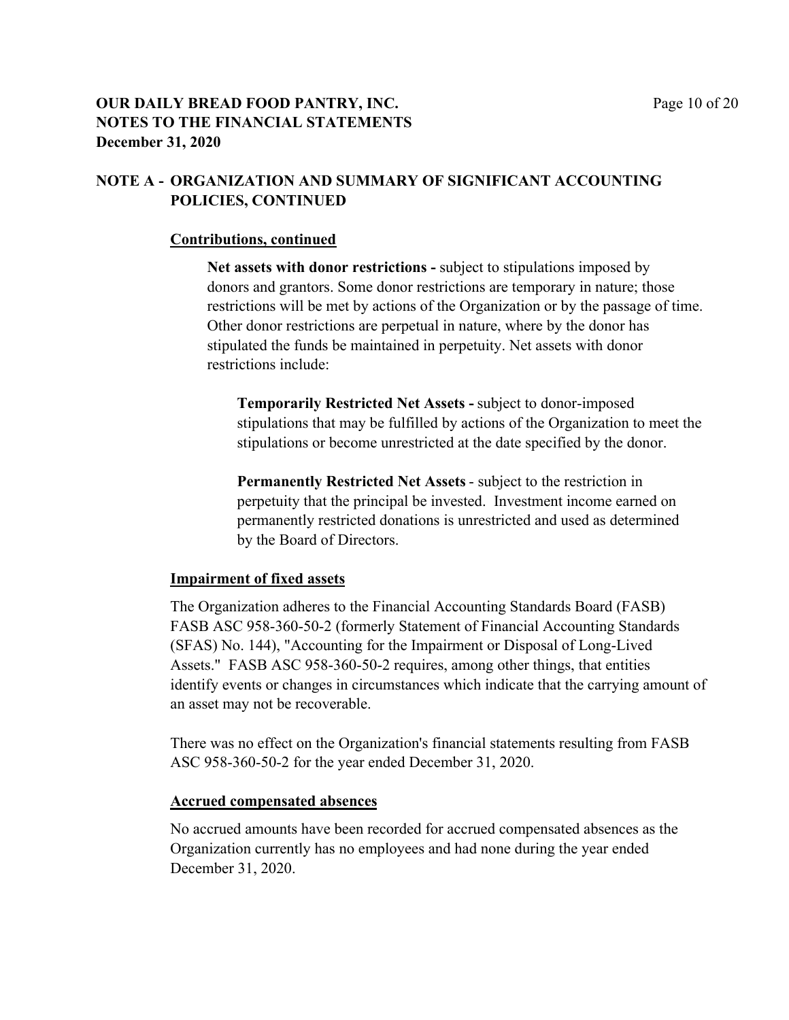### **OUR DAILY BREAD FOOD PANTRY, INC.** Page 10 of 20 **NOTES TO THE FINANCIAL STATEMENTS December 31, 2020**

### **NOTE A - ORGANIZATION AND SUMMARY OF SIGNIFICANT ACCOUNTING POLICIES, CONTINUED**

#### **Contributions, continued**

**Net assets with donor restrictions -** subject to stipulations imposed by donors and grantors. Some donor restrictions are temporary in nature; those restrictions will be met by actions of the Organization or by the passage of time. Other donor restrictions are perpetual in nature, where by the donor has stipulated the funds be maintained in perpetuity. Net assets with donor restrictions include:

**Temporarily Restricted Net Assets -** subject to donor-imposed stipulations that may be fulfilled by actions of the Organization to meet the stipulations or become unrestricted at the date specified by the donor.

**Permanently Restricted Net Assets** - subject to the restriction in perpetuity that the principal be invested. Investment income earned on permanently restricted donations is unrestricted and used as determined by the Board of Directors.

#### **Impairment of fixed assets**

The Organization adheres to the Financial Accounting Standards Board (FASB) FASB ASC 958-360-50-2 (formerly Statement of Financial Accounting Standards (SFAS) No. 144), "Accounting for the Impairment or Disposal of Long-Lived Assets." FASB ASC 958-360-50-2 requires, among other things, that entities identify events or changes in circumstances which indicate that the carrying amount of an asset may not be recoverable.

There was no effect on the Organization's financial statements resulting from FASB ASC 958-360-50-2 for the year ended December 31, 2020.

#### **Accrued compensated absences**

No accrued amounts have been recorded for accrued compensated absences as the Organization currently has no employees and had none during the year ended December 31, 2020.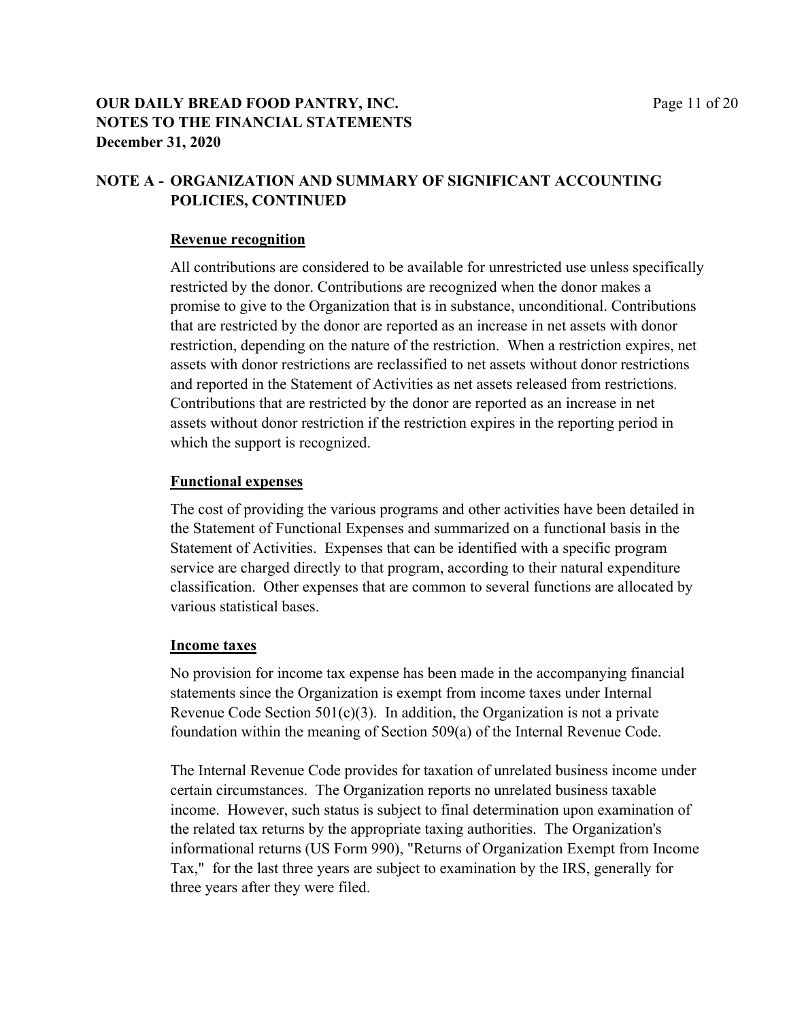### **OUR DAILY BREAD FOOD PANTRY, INC.** Page 11 of 20 **NOTES TO THE FINANCIAL STATEMENTS December 31, 2020**

### **NOTE A - ORGANIZATION AND SUMMARY OF SIGNIFICANT ACCOUNTING POLICIES, CONTINUED**

#### **Revenue recognition**

All contributions are considered to be available for unrestricted use unless specifically restricted by the donor. Contributions are recognized when the donor makes a promise to give to the Organization that is in substance, unconditional. Contributions that are restricted by the donor are reported as an increase in net assets with donor restriction, depending on the nature of the restriction. When a restriction expires, net assets with donor restrictions are reclassified to net assets without donor restrictions and reported in the Statement of Activities as net assets released from restrictions. Contributions that are restricted by the donor are reported as an increase in net assets without donor restriction if the restriction expires in the reporting period in which the support is recognized.

### **Functional expenses**

The cost of providing the various programs and other activities have been detailed in the Statement of Functional Expenses and summarized on a functional basis in the Statement of Activities. Expenses that can be identified with a specific program service are charged directly to that program, according to their natural expenditure classification. Other expenses that are common to several functions are allocated by various statistical bases.

### **Income taxes**

No provision for income tax expense has been made in the accompanying financial statements since the Organization is exempt from income taxes under Internal Revenue Code Section  $501(c)(3)$ . In addition, the Organization is not a private foundation within the meaning of Section 509(a) of the Internal Revenue Code.

The Internal Revenue Code provides for taxation of unrelated business income under certain circumstances. The Organization reports no unrelated business taxable income. However, such status is subject to final determination upon examination of the related tax returns by the appropriate taxing authorities. The Organization's informational returns (US Form 990), "Returns of Organization Exempt from Income Tax," for the last three years are subject to examination by the IRS, generally for three years after they were filed.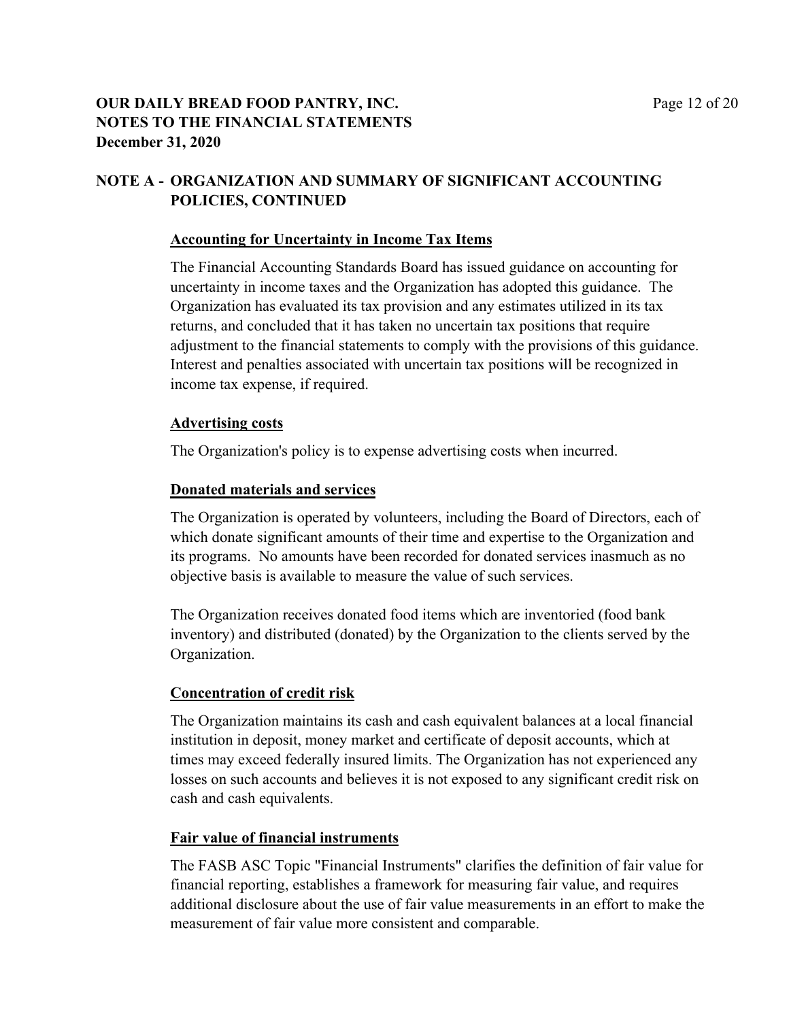### **OUR DAILY BREAD FOOD PANTRY, INC.** Page 12 of 20 **NOTES TO THE FINANCIAL STATEMENTS December 31, 2020**

### **NOTE A - ORGANIZATION AND SUMMARY OF SIGNIFICANT ACCOUNTING POLICIES, CONTINUED**

#### **Accounting for Uncertainty in Income Tax Items**

The Financial Accounting Standards Board has issued guidance on accounting for uncertainty in income taxes and the Organization has adopted this guidance. The Organization has evaluated its tax provision and any estimates utilized in its tax returns, and concluded that it has taken no uncertain tax positions that require adjustment to the financial statements to comply with the provisions of this guidance. Interest and penalties associated with uncertain tax positions will be recognized in income tax expense, if required.

#### **Advertising costs**

The Organization's policy is to expense advertising costs when incurred.

#### **Donated materials and services**

The Organization is operated by volunteers, including the Board of Directors, each of which donate significant amounts of their time and expertise to the Organization and its programs. No amounts have been recorded for donated services inasmuch as no objective basis is available to measure the value of such services.

The Organization receives donated food items which are inventoried (food bank inventory) and distributed (donated) by the Organization to the clients served by the Organization.

#### **Concentration of credit risk**

The Organization maintains its cash and cash equivalent balances at a local financial institution in deposit, money market and certificate of deposit accounts, which at times may exceed federally insured limits. The Organization has not experienced any losses on such accounts and believes it is not exposed to any significant credit risk on cash and cash equivalents.

#### **Fair value of financial instruments**

The FASB ASC Topic "Financial Instruments" clarifies the definition of fair value for financial reporting, establishes a framework for measuring fair value, and requires additional disclosure about the use of fair value measurements in an effort to make the measurement of fair value more consistent and comparable.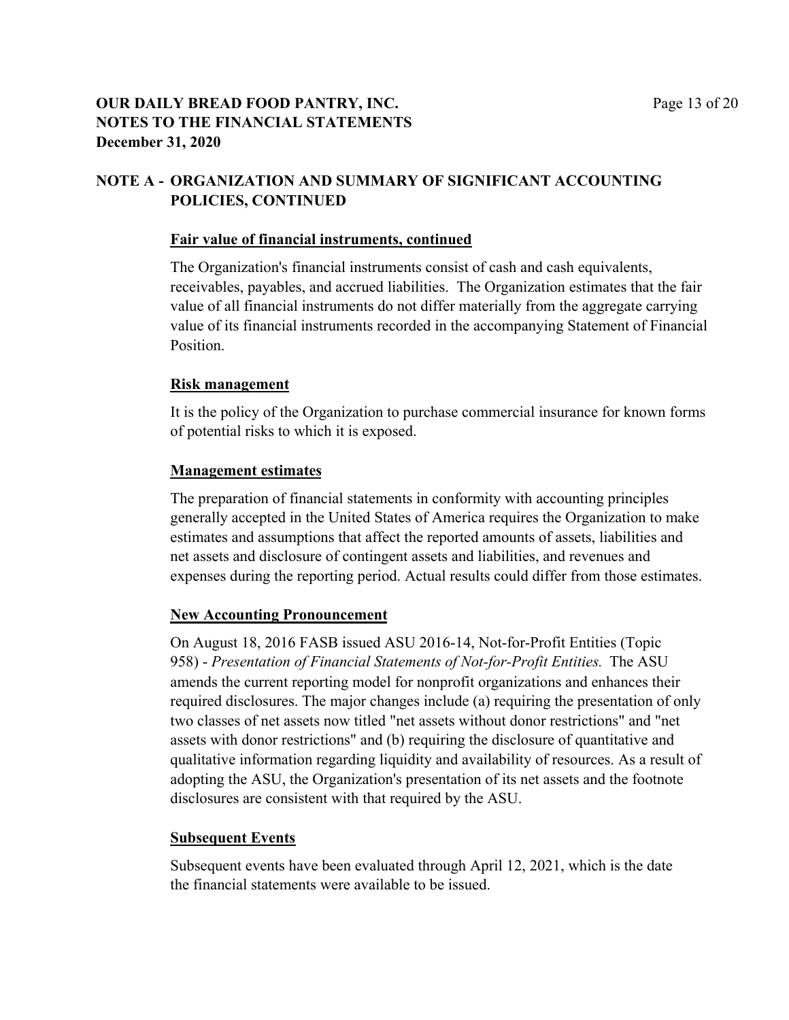### **OUR DAILY BREAD FOOD PANTRY, INC.** Page 13 of 20 **NOTES TO THE FINANCIAL STATEMENTS December 31, 2020**

### **NOTE A - ORGANIZATION AND SUMMARY OF SIGNIFICANT ACCOUNTING POLICIES, CONTINUED**

#### **Fair value of financial instruments, continued**

The Organization's financial instruments consist of cash and cash equivalents, receivables, payables, and accrued liabilities. The Organization estimates that the fair value of all financial instruments do not differ materially from the aggregate carrying value of its financial instruments recorded in the accompanying Statement of Financial Position.

#### **Risk management**

It is the policy of the Organization to purchase commercial insurance for known forms of potential risks to which it is exposed.

#### **Management estimates**

The preparation of financial statements in conformity with accounting principles generally accepted in the United States of America requires the Organization to make estimates and assumptions that affect the reported amounts of assets, liabilities and net assets and disclosure of contingent assets and liabilities, and revenues and expenses during the reporting period. Actual results could differ from those estimates.

#### **New Accounting Pronouncement**

On August 18, 2016 FASB issued ASU 2016-14, Not-for-Profit Entities (Topic 958) - *Presentation of Financial Statements of Not-for-Profit Entities.* The ASU amends the current reporting model for nonprofit organizations and enhances their required disclosures. The major changes include (a) requiring the presentation of only two classes of net assets now titled "net assets without donor restrictions" and "net assets with donor restrictions" and (b) requiring the disclosure of quantitative and qualitative information regarding liquidity and availability of resources. As a result of adopting the ASU, the Organization's presentation of its net assets and the footnote disclosures are consistent with that required by the ASU.

#### **Subsequent Events**

Subsequent events have been evaluated through April 12, 2021, which is the date the financial statements were available to be issued.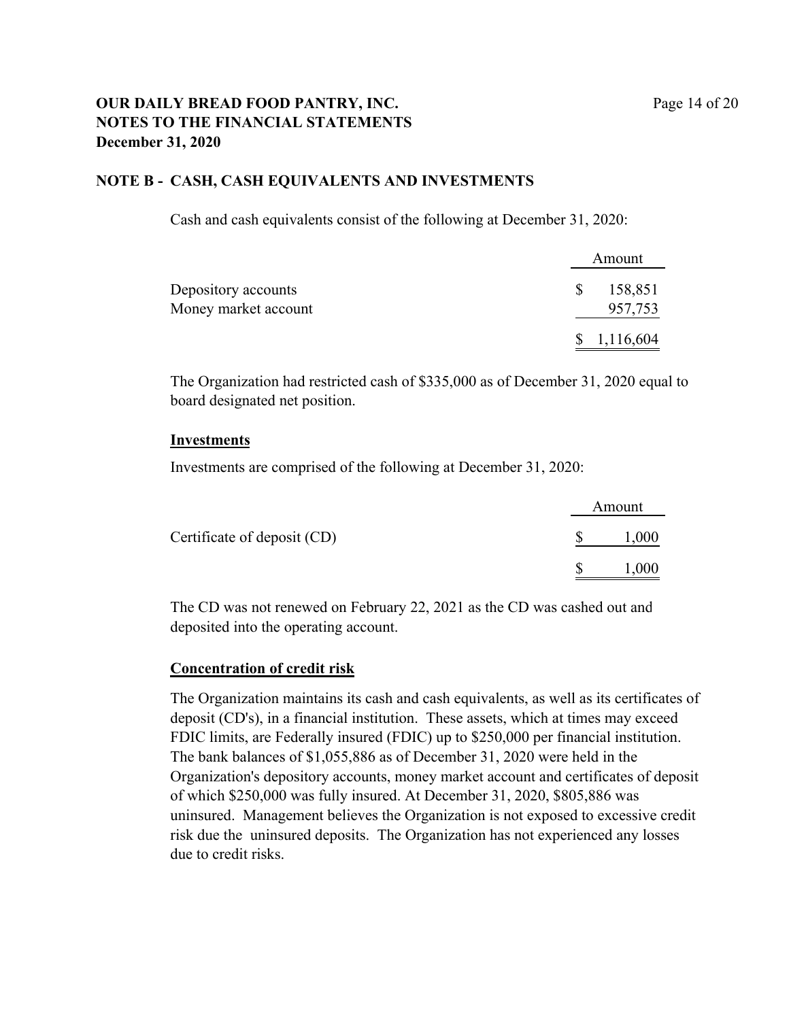### **OUR DAILY BREAD FOOD PANTRY, INC.** Page 14 of 20 **NOTES TO THE FINANCIAL STATEMENTS December 31, 2020**

#### **NOTE B - CASH, CASH EQUIVALENTS AND INVESTMENTS**

Cash and cash equivalents consist of the following at December 31, 2020:

|                      |    | Amount      |
|----------------------|----|-------------|
| Depository accounts  | S. | 158,851     |
| Money market account |    | 957,753     |
|                      |    | \$1,116,604 |

The Organization had restricted cash of \$335,000 as of December 31, 2020 equal to board designated net position.

#### **Investments**

Investments are comprised of the following at December 31, 2020:

|                             | Amount |
|-----------------------------|--------|
| Certificate of deposit (CD) | 1,000  |
|                             | 1,000  |

The CD was not renewed on February 22, 2021 as the CD was cashed out and deposited into the operating account.

#### **Concentration of credit risk**

The Organization maintains its cash and cash equivalents, as well as its certificates of deposit (CD's), in a financial institution. These assets, which at times may exceed FDIC limits, are Federally insured (FDIC) up to \$250,000 per financial institution. The bank balances of \$1,055,886 as of December 31, 2020 were held in the Organization's depository accounts, money market account and certificates of deposit of which \$250,000 was fully insured. At December 31, 2020, \$805,886 was uninsured. Management believes the Organization is not exposed to excessive credit risk due the uninsured deposits. The Organization has not experienced any losses due to credit risks.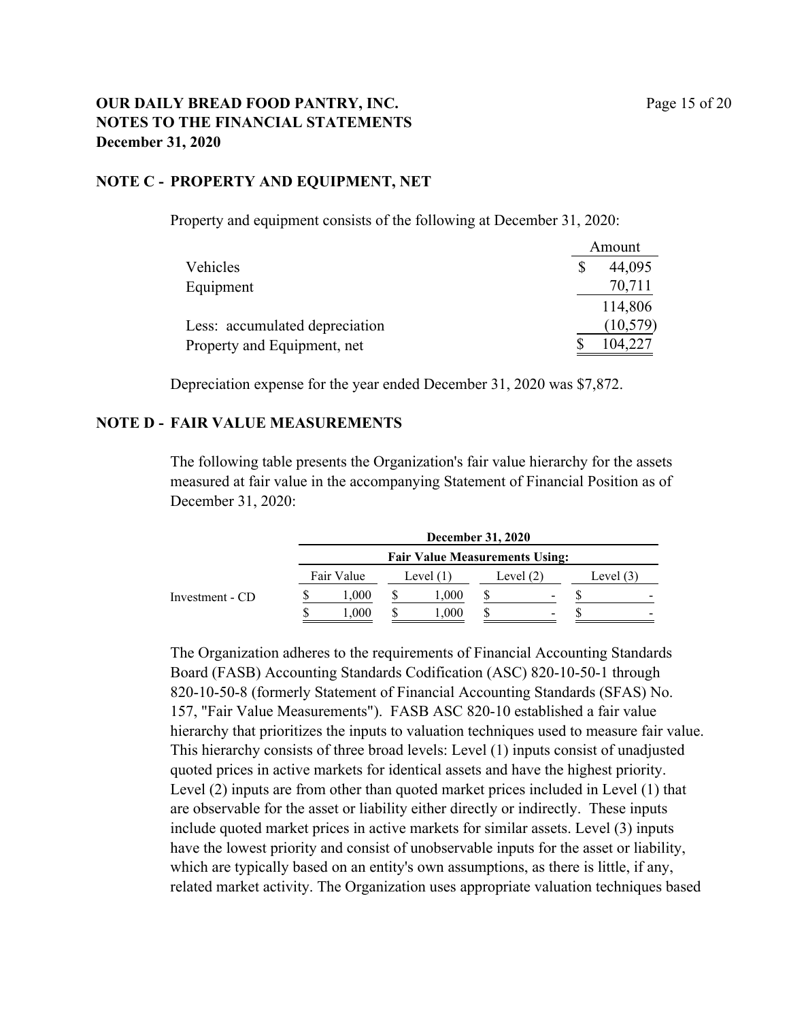### **OUR DAILY BREAD FOOD PANTRY, INC.** Page 15 of 20 **NOTES TO THE FINANCIAL STATEMENTS December 31, 2020**

#### **NOTE C - PROPERTY AND EQUIPMENT, NET**

Amount Vehicles \$44,095 Equipment 70,711 114,806 Less: accumulated depreciation (10,579) Property and Equipment, net  $$ 104,227$ 

Property and equipment consists of the following at December 31, 2020:

Depreciation expense for the year ended December 31, 2020 was \$7,872.

#### **NOTE D - FAIR VALUE MEASUREMENTS**

The following table presents the Organization's fair value hierarchy for the assets measured at fair value in the accompanying Statement of Financial Position as of December 31, 2020:

|                 |                                       |    |           | <b>December 31, 2020</b> |                          |           |   |
|-----------------|---------------------------------------|----|-----------|--------------------------|--------------------------|-----------|---|
|                 | <b>Fair Value Measurements Using:</b> |    |           |                          |                          |           |   |
|                 | Fair Value                            |    | Level (1) | Level (2)                |                          | Level (3) |   |
| Investment - CD | 000.1                                 | ٠D | 000.1     |                          | -                        |           | - |
|                 | 000.                                  |    | 000.      |                          | $\overline{\phantom{0}}$ |           | - |

The Organization adheres to the requirements of Financial Accounting Standards Board (FASB) Accounting Standards Codification (ASC) 820-10-50-1 through 820-10-50-8 (formerly Statement of Financial Accounting Standards (SFAS) No. 157, "Fair Value Measurements"). FASB ASC 820-10 established a fair value hierarchy that prioritizes the inputs to valuation techniques used to measure fair value. This hierarchy consists of three broad levels: Level (1) inputs consist of unadjusted quoted prices in active markets for identical assets and have the highest priority. Level (2) inputs are from other than quoted market prices included in Level (1) that are observable for the asset or liability either directly or indirectly. These inputs include quoted market prices in active markets for similar assets. Level (3) inputs have the lowest priority and consist of unobservable inputs for the asset or liability, which are typically based on an entity's own assumptions, as there is little, if any, related market activity. The Organization uses appropriate valuation techniques based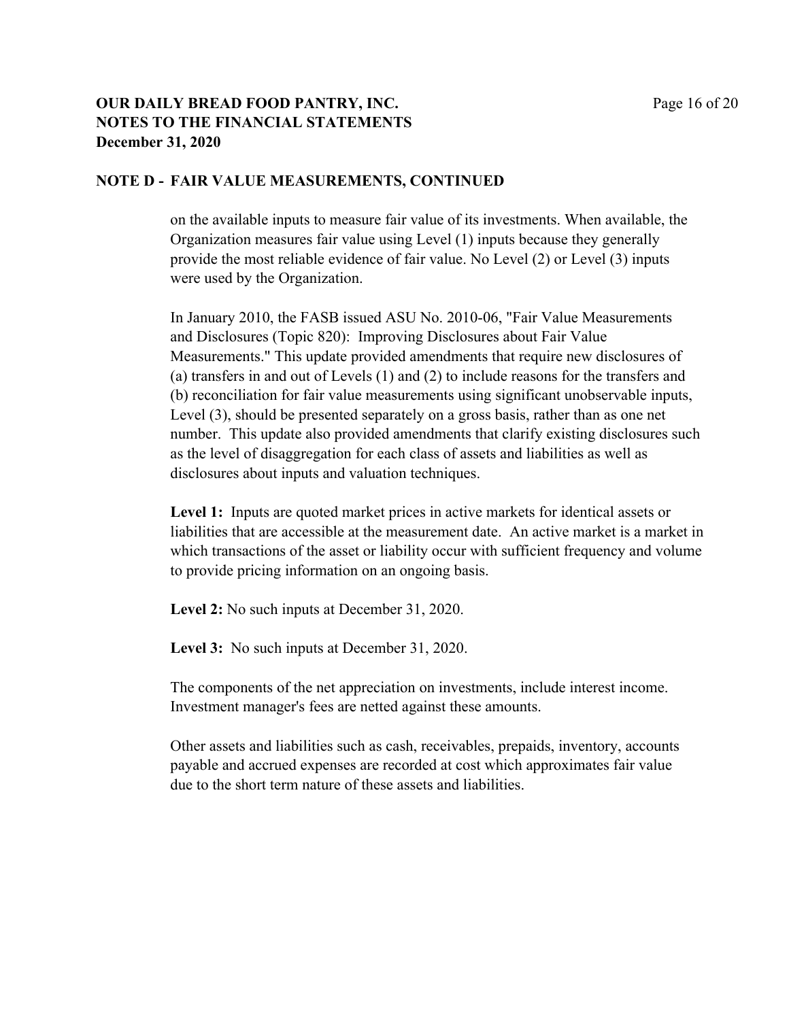### **OUR DAILY BREAD FOOD PANTRY, INC.** Page 16 of 20 **NOTES TO THE FINANCIAL STATEMENTS December 31, 2020**

#### **NOTE D - FAIR VALUE MEASUREMENTS, CONTINUED**

on the available inputs to measure fair value of its investments. When available, the Organization measures fair value using Level (1) inputs because they generally provide the most reliable evidence of fair value. No Level (2) or Level (3) inputs were used by the Organization.

In January 2010, the FASB issued ASU No. 2010-06, "Fair Value Measurements and Disclosures (Topic 820): Improving Disclosures about Fair Value Measurements." This update provided amendments that require new disclosures of (a) transfers in and out of Levels (1) and (2) to include reasons for the transfers and (b) reconciliation for fair value measurements using significant unobservable inputs, Level (3), should be presented separately on a gross basis, rather than as one net number. This update also provided amendments that clarify existing disclosures such as the level of disaggregation for each class of assets and liabilities as well as disclosures about inputs and valuation techniques.

**Level 1:** Inputs are quoted market prices in active markets for identical assets or liabilities that are accessible at the measurement date. An active market is a market in which transactions of the asset or liability occur with sufficient frequency and volume to provide pricing information on an ongoing basis.

**Level 2:** No such inputs at December 31, 2020.

**Level 3:** No such inputs at December 31, 2020.

The components of the net appreciation on investments, include interest income. Investment manager's fees are netted against these amounts.

Other assets and liabilities such as cash, receivables, prepaids, inventory, accounts payable and accrued expenses are recorded at cost which approximates fair value due to the short term nature of these assets and liabilities.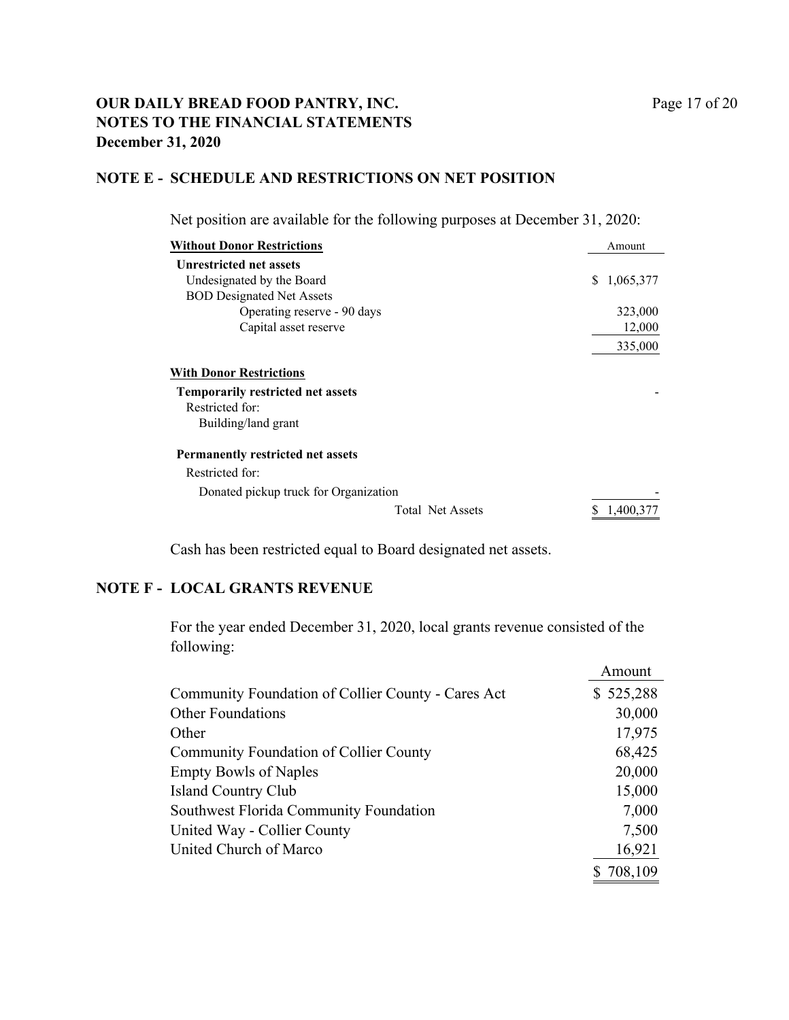### **OUR DAILY BREAD FOOD PANTRY, INC.** Page 17 of 20 **NOTES TO THE FINANCIAL STATEMENTS December 31, 2020**

### **NOTE E - SCHEDULE AND RESTRICTIONS ON NET POSITION**

| <b>Without Donor Restrictions</b>        |                         | Amount          |
|------------------------------------------|-------------------------|-----------------|
| Unrestricted net assets                  |                         |                 |
| Undesignated by the Board                |                         | 1,065,377<br>S. |
| <b>BOD Designated Net Assets</b>         |                         |                 |
| Operating reserve - 90 days              |                         | 323,000         |
| Capital asset reserve                    |                         | 12,000          |
|                                          |                         | 335,000         |
| <b>With Donor Restrictions</b>           |                         |                 |
| <b>Temporarily restricted net assets</b> |                         |                 |
| Restricted for:                          |                         |                 |
| Building/land grant                      |                         |                 |
| Permanently restricted net assets        |                         |                 |
| Restricted for:                          |                         |                 |
| Donated pickup truck for Organization    |                         |                 |
|                                          | <b>Total Net Assets</b> | 1,400,377       |

Net position are available for the following purposes at December 31, 2020:

Cash has been restricted equal to Board designated net assets.

#### **NOTE F - LOCAL GRANTS REVENUE**

For the year ended December 31, 2020, local grants revenue consisted of the following:

|                                                    | Amount    |
|----------------------------------------------------|-----------|
| Community Foundation of Collier County - Cares Act | \$525,288 |
| <b>Other Foundations</b>                           | 30,000    |
| Other                                              | 17,975    |
| Community Foundation of Collier County             | 68,425    |
| <b>Empty Bowls of Naples</b>                       | 20,000    |
| Island Country Club                                | 15,000    |
| Southwest Florida Community Foundation             | 7,000     |
| United Way - Collier County                        | 7,500     |
| United Church of Marco                             | 16,921    |
|                                                    | 708,109   |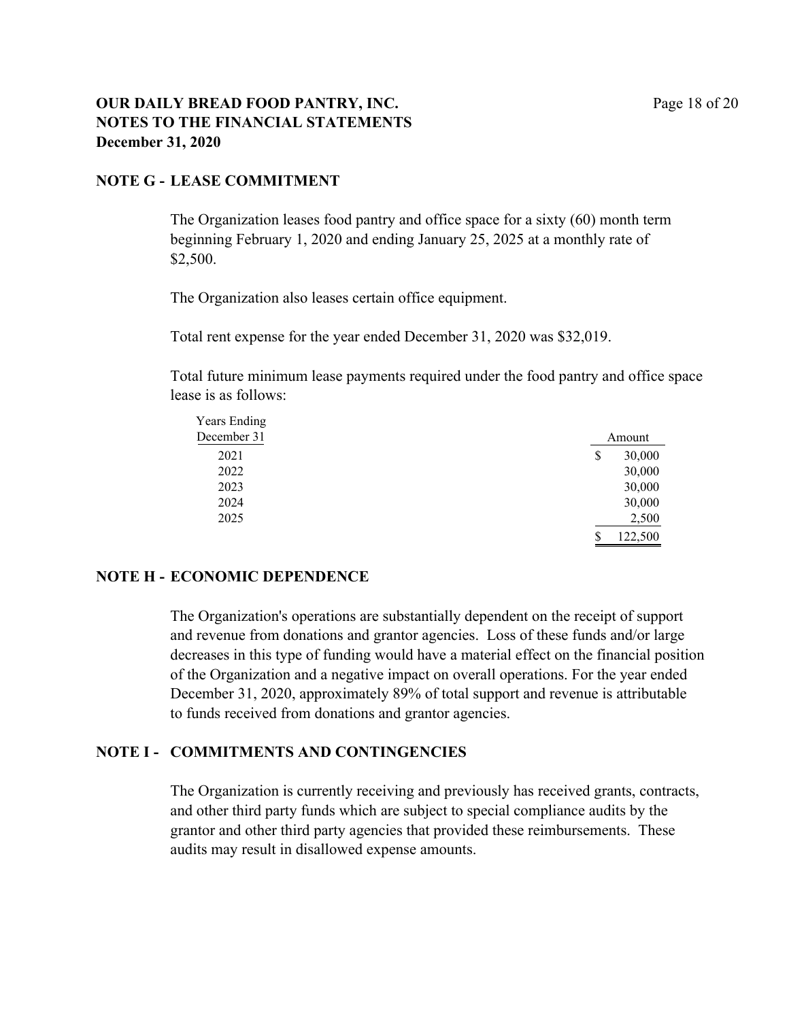### **OUR DAILY BREAD FOOD PANTRY, INC.** Page 18 of 20 **NOTES TO THE FINANCIAL STATEMENTS December 31, 2020**

### **NOTE G - LEASE COMMITMENT**

The Organization leases food pantry and office space for a sixty (60) month term beginning February 1, 2020 and ending January 25, 2025 at a monthly rate of \$2,500.

The Organization also leases certain office equipment.

Total rent expense for the year ended December 31, 2020 was \$32,019.

Total future minimum lease payments required under the food pantry and office space lease is as follows:

| Years Ending<br>December 31 | Amount       |
|-----------------------------|--------------|
| 2021                        | 30,000<br>S  |
| 2022                        | 30,000       |
| 2023                        | 30,000       |
| 2024                        | 30,000       |
| 2025                        | 2,500        |
|                             | 122,500<br>¢ |

### **NOTE H - ECONOMIC DEPENDENCE**

The Organization's operations are substantially dependent on the receipt of support and revenue from donations and grantor agencies. Loss of these funds and/or large decreases in this type of funding would have a material effect on the financial position of the Organization and a negative impact on overall operations. For the year ended December 31, 2020, approximately 89% of total support and revenue is attributable to funds received from donations and grantor agencies.

### **NOTE I - COMMITMENTS AND CONTINGENCIES**

The Organization is currently receiving and previously has received grants, contracts, and other third party funds which are subject to special compliance audits by the grantor and other third party agencies that provided these reimbursements. These audits may result in disallowed expense amounts.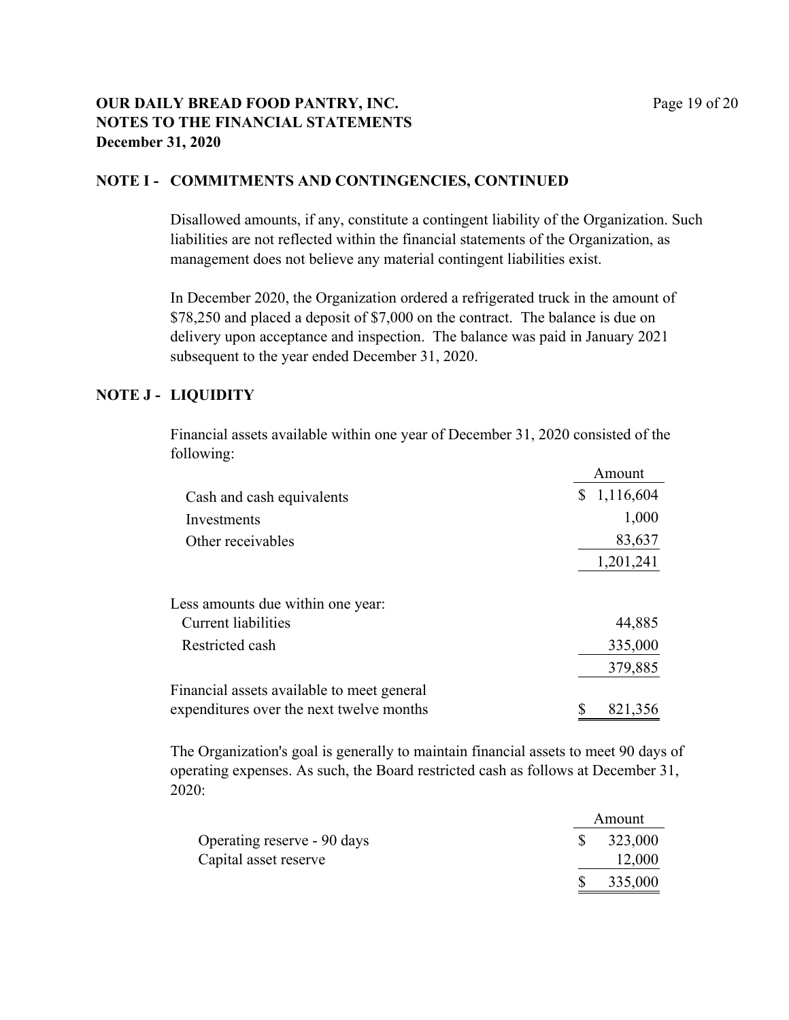### **OUR DAILY BREAD FOOD PANTRY, INC.** Page 19 of 20 **NOTES TO THE FINANCIAL STATEMENTS December 31, 2020**

#### **NOTE I - COMMITMENTS AND CONTINGENCIES, CONTINUED**

Disallowed amounts, if any, constitute a contingent liability of the Organization. Such liabilities are not reflected within the financial statements of the Organization, as management does not believe any material contingent liabilities exist.

In December 2020, the Organization ordered a refrigerated truck in the amount of \$78,250 and placed a deposit of \$7,000 on the contract. The balance is due on delivery upon acceptance and inspection. The balance was paid in January 2021 subsequent to the year ended December 31, 2020.

#### **NOTE J - LIQUIDITY**

Financial assets available within one year of December 31, 2020 consisted of the following:

|                                            | Amount          |
|--------------------------------------------|-----------------|
| Cash and cash equivalents                  | 1,116,604<br>S. |
| Investments                                | 1,000           |
| Other receivables                          | 83,637          |
|                                            | 1,201,241       |
| Less amounts due within one year:          |                 |
| <b>Current liabilities</b>                 | 44,885          |
| Restricted cash                            | 335,000         |
|                                            | 379,885         |
| Financial assets available to meet general |                 |
| expenditures over the next twelve months   | 821,356         |

The Organization's goal is generally to maintain financial assets to meet 90 days of operating expenses. As such, the Board restricted cash as follows at December 31, 2020:

|                             | Amount |         |
|-----------------------------|--------|---------|
| Operating reserve - 90 days |        | 323,000 |
| Capital asset reserve       |        | 12,000  |
|                             |        | 335,000 |